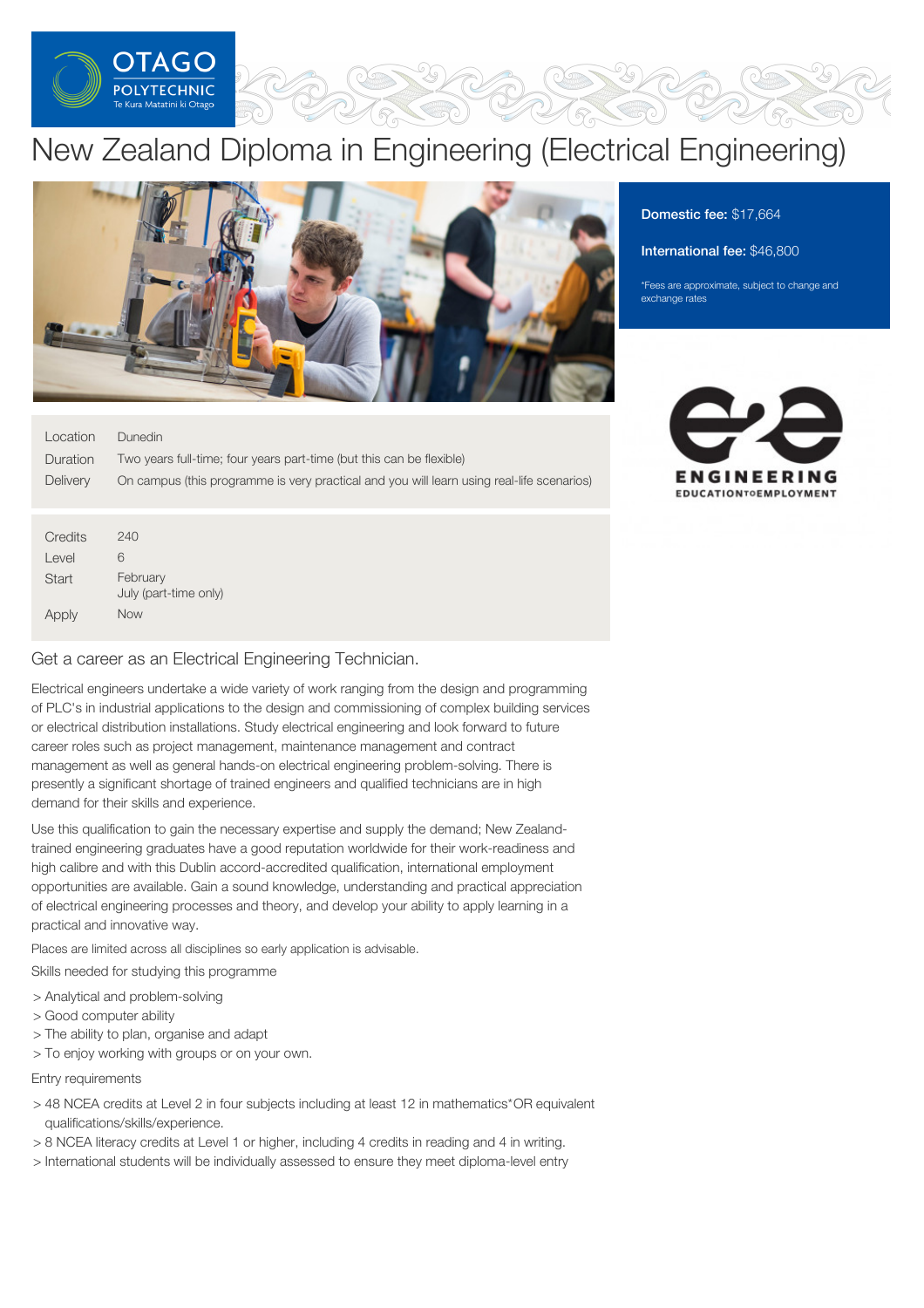

# New Zealand Diploma in Engineering (Electrical Engineering)



# Domestic fee: \$17,664

#### International fee: \$46,800

\*Fees are approximate, subject to change and exchange rates

| Location | Dunedin |
|----------|---------|

240 6 February

Now

July (part-time only)

**Credits** Level **Start** 

Apply

| Duration | Two years full-time; four years part-time (but this can be flexible)                      |
|----------|-------------------------------------------------------------------------------------------|
| Delivery | On campus (this programme is very practical and you will learn using real-life scenarios) |
|          |                                                                                           |
|          |                                                                                           |



|  |  |  | Get a career as an Electrical Engineering Technician. |
|--|--|--|-------------------------------------------------------|

Electrical engineers undertake a wide variety of work ranging from the design and programming of PLC's in industrial applications to the design and commissioning of complex building services or electrical distribution installations. Study electrical engineering and look forward to future career roles such as project management, maintenance management and contract management as well as general hands-on electrical engineering problem-solving. There is presently a significant shortage of trained engineers and qualified technicians are in high demand for their skills and experience.

Use this qualification to gain the necessary expertise and supply the demand; New Zealandtrained engineering graduates have a good reputation worldwide for their work-readiness and high calibre and with this Dublin accord-accredited qualification, international employment opportunities are available. Gain a sound knowledge, understanding and practical appreciation of electrical engineering processes and theory, and develop your ability to apply learning in a practical and innovative way.

Places are limited across all disciplines so early application is advisable.

Skills needed for studying this programme

- > Analytical and problem-solving
- > Good computer ability
- > The ability to plan, organise and adapt
- > To enjoy working with groups or on your own.

Entry requirements

- > 48 NCEA credits at Level 2 in four subjects including at least 12 in mathematics\*OR equivalent qualifications/skills/experience.
- > 8 NCEA literacy credits at Level 1 or higher, including 4 credits in reading and 4 in writing.
- > International students will be individually assessed to ensure they meet diploma-level entry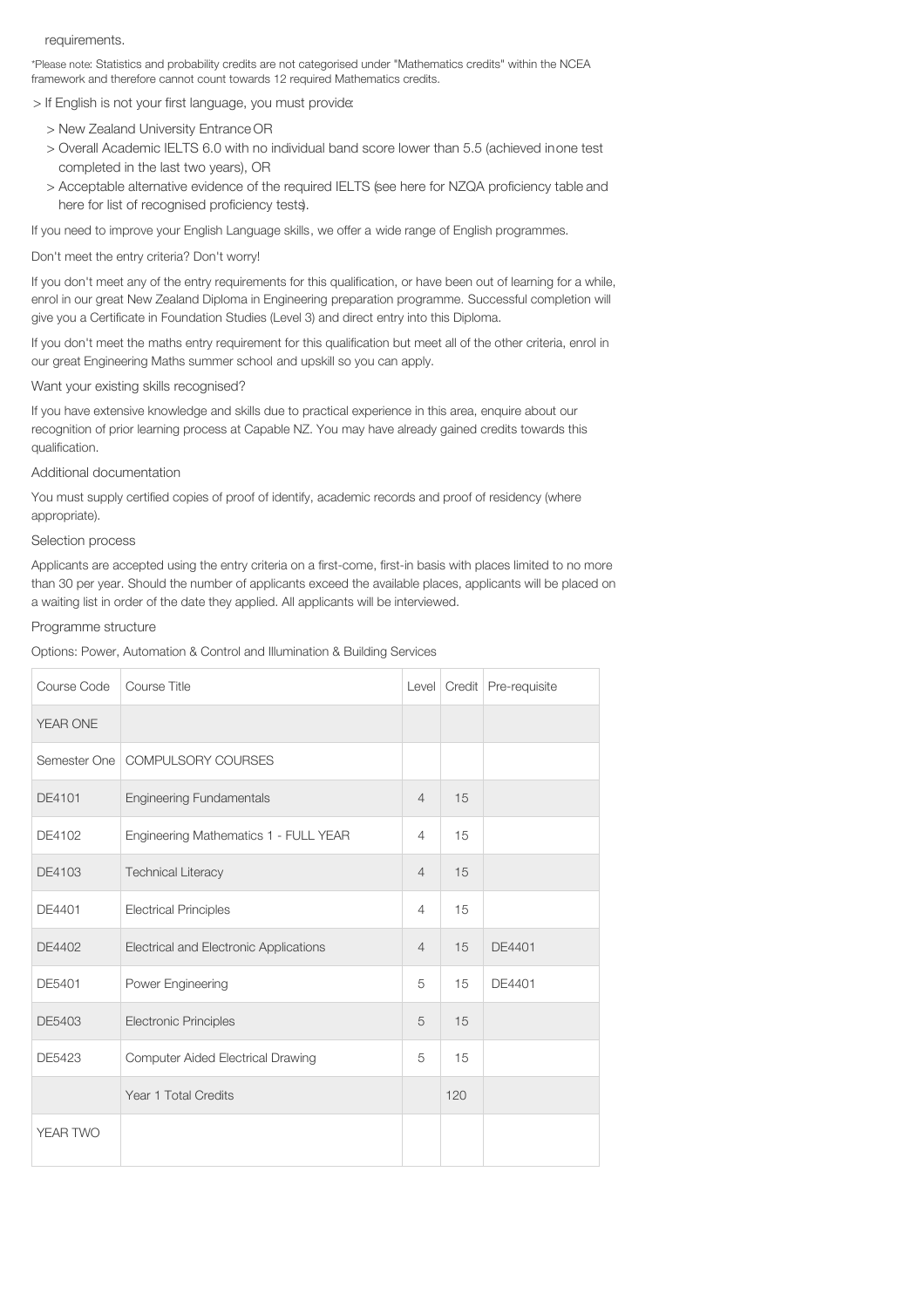#### requirements.

\*Please note: Statistics and probability credits are not categorised under "Mathematics credits" within the NCEA framework and therefore cannot count towards 12 required Mathematics credits.

> If English is not your first language, you must provide:

- > New Zealand University Entrance OR
- > Overall Academic IELTS 6.0 with no individual band score lower than 5.5 (achieved inone test completed in the last two years), OR
- > Acceptable alternative evidence of the required IELTS (see here for NZQA proficiency table and here for list of recognised proficiency tests).

If you need to improve your English Language skills, we offer a wide range of English programmes.

Don't meet the entry criteria? Don't worry!

If you don't meet any of the entry requirements for this qualification, or have been out of learning for a while, enrol in our great New Zealand Diploma in Engineering preparation programme. Successful completion will give you a Certificate in Foundation Studies (Level 3) and direct entry into this Diploma.

If you don't meet the maths entry requirement for this qualification but meet all of the other criteria, enrol in our great Engineering Maths summer school and upskill so you can apply.

Want your existing skills recognised?

If you have extensive knowledge and skills due to practical experience in this area, enquire about our recognition of prior learning process at Capable NZ. You may have already gained credits towards this qualification.

## Additional documentation

You must supply certified copies of proof of identify, academic records and proof of residency (where appropriate).

# Selection process

Applicants are accepted using the entry criteria on a first-come, first-in basis with places limited to no more than 30 per year. Should the number of applicants exceed the available places, applicants will be placed on a waiting list in order of the date they applied. All applicants will be interviewed.

### Programme structure

Options: Power, Automation & Control and Illumination & Building Services

| Course Code | Course Title                             |                |     | Level   Credit   Pre-requisite |
|-------------|------------------------------------------|----------------|-----|--------------------------------|
| YEAR ONE    |                                          |                |     |                                |
|             | Semester One   COMPULSORY COURSES        |                |     |                                |
| DE4101      | <b>Engineering Fundamentals</b>          | $\overline{4}$ | 15  |                                |
| DE4102      | Engineering Mathematics 1 - FULL YEAR    | $\overline{4}$ | 15  |                                |
| DE4103      | <b>Technical Literacy</b>                | $\overline{4}$ | 15  |                                |
| DE4401      | <b>Electrical Principles</b>             | 4              | 15  |                                |
| DE4402      | Electrical and Electronic Applications   | $\overline{4}$ | 15  | DE4401                         |
| DE5401      | Power Engineering                        | 5              | 15  | DE4401                         |
| DE5403      | <b>Electronic Principles</b>             | 5              | 15  |                                |
| DE5423      | <b>Computer Aided Electrical Drawing</b> | 5              | 15  |                                |
|             | Year 1 Total Credits                     |                | 120 |                                |
| YEAR TWO    |                                          |                |     |                                |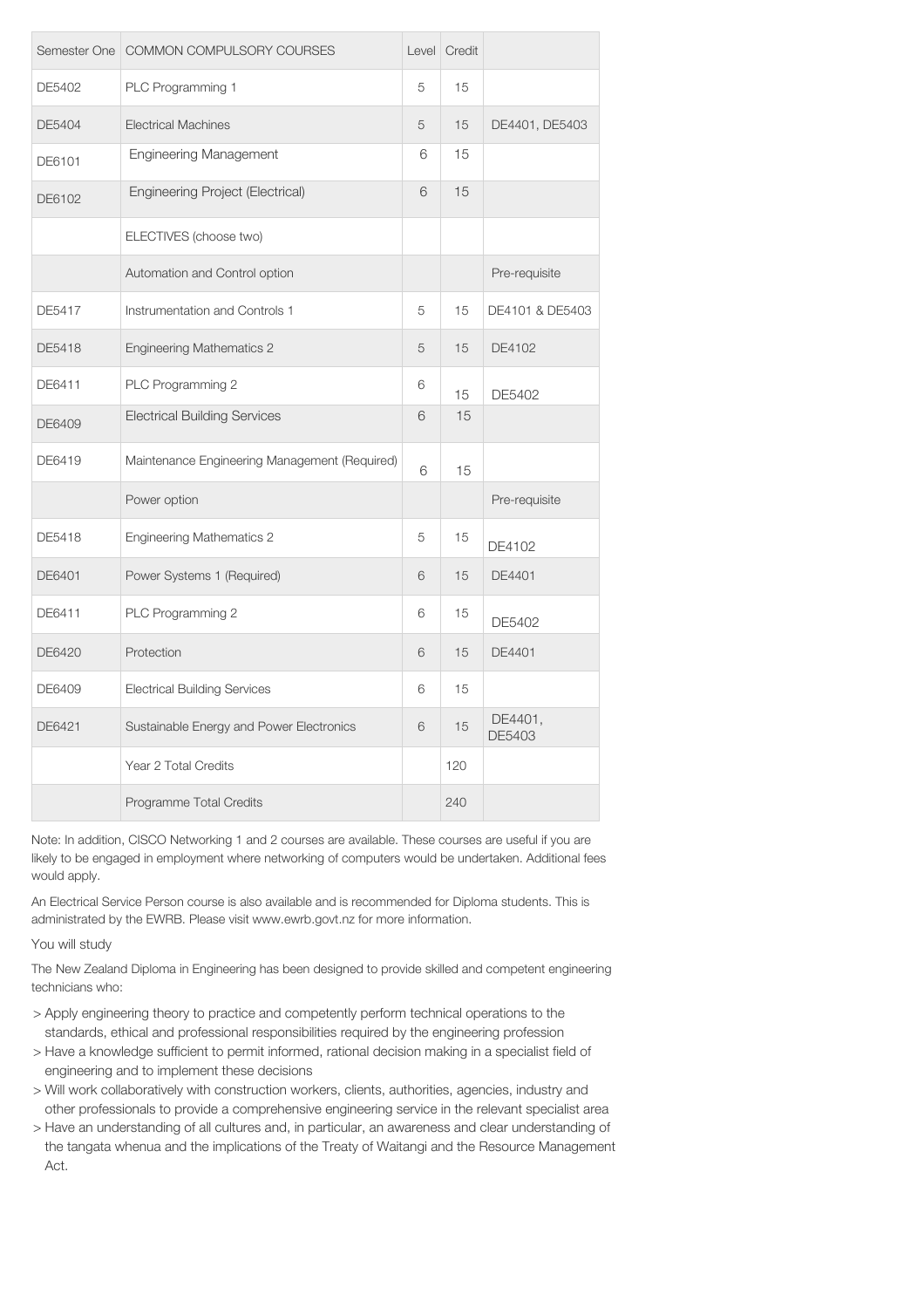| Semester One | COMMON COMPULSORY COURSES                     | Level | Credit |                   |
|--------------|-----------------------------------------------|-------|--------|-------------------|
| DE5402       | PLC Programming 1                             | 5     | 15     |                   |
| DE5404       | <b>Electrical Machines</b>                    | 5     | 15     | DE4401, DE5403    |
| DE6101       | <b>Engineering Management</b>                 | 6     | 15     |                   |
| DE6102       | <b>Engineering Project (Electrical)</b>       | 6     | 15     |                   |
|              | ELECTIVES (choose two)                        |       |        |                   |
|              | Automation and Control option                 |       |        | Pre-requisite     |
| DE5417       | Instrumentation and Controls 1                | 5     | 15     | DE4101 & DE5403   |
| DE5418       | <b>Engineering Mathematics 2</b>              | 5     | 15     | DE4102            |
| DE6411       | PLC Programming 2                             | 6     | 15     | DE5402            |
| DE6409       | <b>Electrical Building Services</b>           | 6     | 15     |                   |
| DE6419       | Maintenance Engineering Management (Required) | 6     | 15     |                   |
|              | Power option                                  |       |        | Pre-requisite     |
| DE5418       | <b>Engineering Mathematics 2</b>              | 5     | 15     | DE4102            |
| DE6401       | Power Systems 1 (Required)                    | 6     | 15     | DE4401            |
| DE6411       | PLC Programming 2                             | 6     | 15     | DE5402            |
| DE6420       | Protection                                    | 6     | 15     | DE4401            |
| DE6409       | <b>Electrical Building Services</b>           | 6     | 15     |                   |
| DE6421       | Sustainable Energy and Power Electronics      | 6     | 15     | DE4401,<br>DE5403 |
|              | Year 2 Total Credits                          |       | 120    |                   |
|              | Programme Total Credits                       |       | 240    |                   |

Note: In addition, CISCO Networking 1 and 2 courses are available. These courses are useful if you are likely to be engaged in employment where networking of computers would be undertaken. Additional fees would apply.

An Electrical Service Person course is also available and is recommended for Diploma students. This is administrated by the EWRB. Please visit www.ewrb.govt.nz for more information.

You will study

The New Zealand Diploma in Engineering has been designed to provide skilled and competent engineering technicians who:

- > Apply engineering theory to practice and competently perform technical operations to the standards, ethical and professional responsibilities required by the engineering profession
- > Have a knowledge sufficient to permit informed, rational decision making in a specialist field of engineering and to implement these decisions
- > Will work collaboratively with construction workers, clients, authorities, agencies, industry and other professionals to provide a comprehensive engineering service in the relevant specialist area
- > Have an understanding of all cultures and, in particular, an awareness and clear understanding of the tangata whenua and the implications of the Treaty of Waitangi and the Resource Management Act.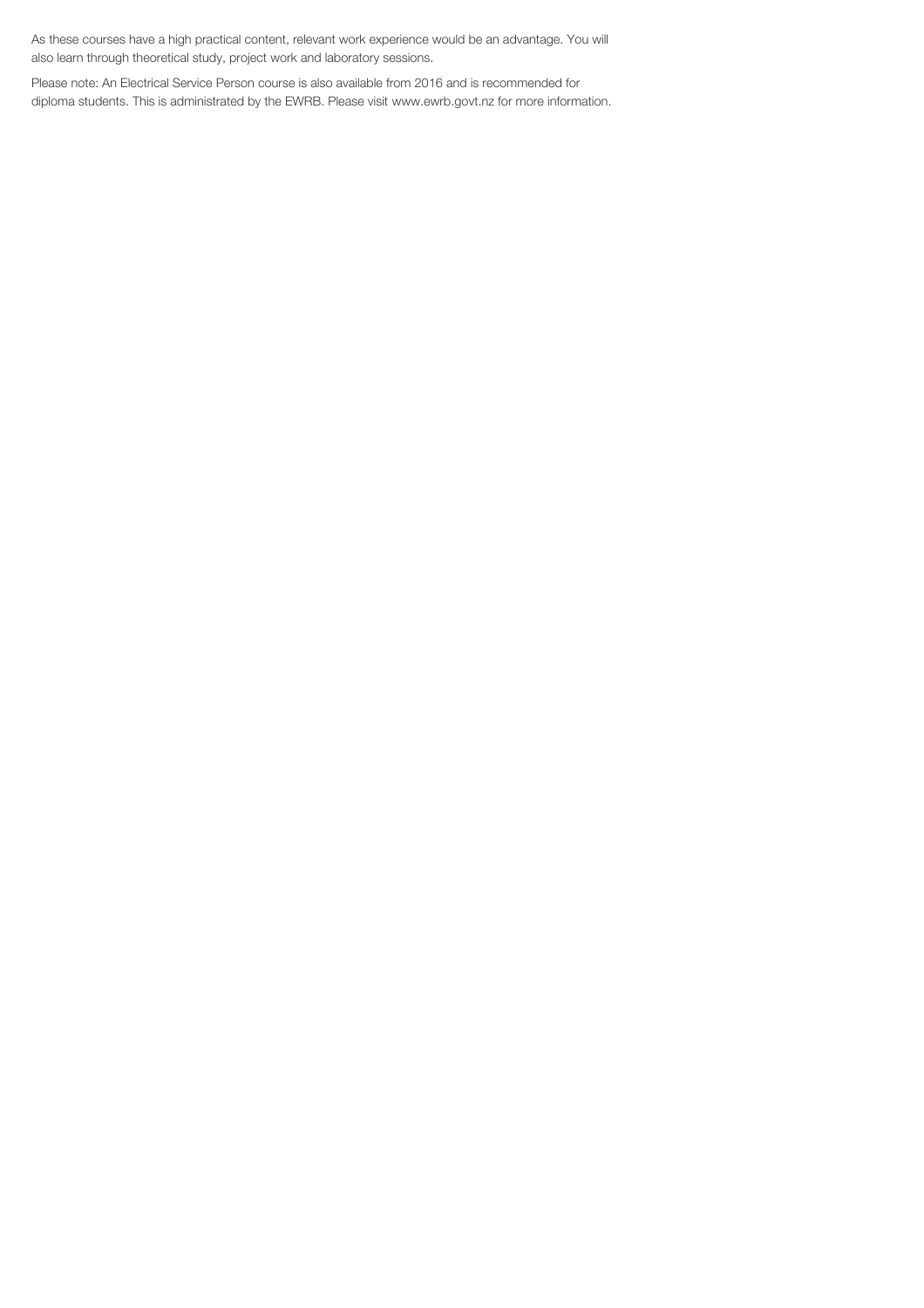As these courses have a high practical content, relevant work experience would be an advantage. You will also learn through theoretical study, project work and laboratory sessions.

Please note: An Electrical Service Person course is also available from 2016 and is recommended for diploma students. This is administrated by the EWRB. Please visit www.ewrb.govt.nz for more information.